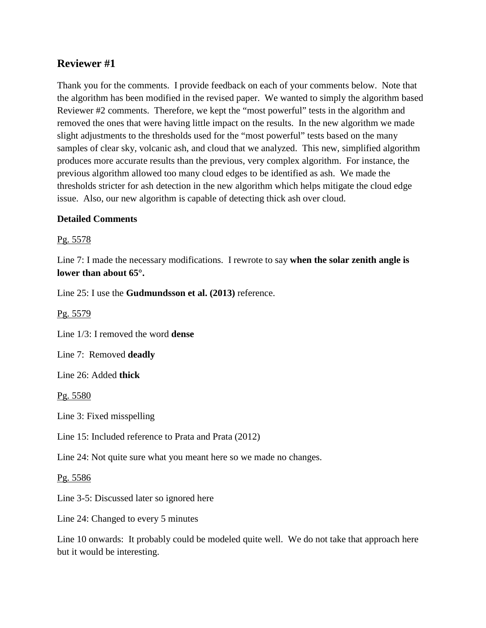# **Reviewer #1**

Thank you for the comments. I provide feedback on each of your comments below. Note that the algorithm has been modified in the revised paper. We wanted to simply the algorithm based Reviewer #2 comments. Therefore, we kept the "most powerful" tests in the algorithm and removed the ones that were having little impact on the results. In the new algorithm we made slight adjustments to the thresholds used for the "most powerful" tests based on the many samples of clear sky, volcanic ash, and cloud that we analyzed. This new, simplified algorithm produces more accurate results than the previous, very complex algorithm. For instance, the previous algorithm allowed too many cloud edges to be identified as ash. We made the thresholds stricter for ash detection in the new algorithm which helps mitigate the cloud edge issue. Also, our new algorithm is capable of detecting thick ash over cloud.

## **Detailed Comments**

Pg. 5578

Line 7: I made the necessary modifications. I rewrote to say **when the solar zenith angle is lower than about 65°.**

Line 25: I use the **Gudmundsson et al. (2013)** reference.

Pg. 5579

Line 1/3: I removed the word **dense**

Line 7: Removed **deadly**

Line 26: Added **thick**

Pg. 5580

Line 3: Fixed misspelling

Line 15: Included reference to Prata and Prata (2012)

Line 24: Not quite sure what you meant here so we made no changes.

Pg. 5586

Line 3-5: Discussed later so ignored here

Line 24: Changed to every 5 minutes

Line 10 onwards: It probably could be modeled quite well. We do not take that approach here but it would be interesting.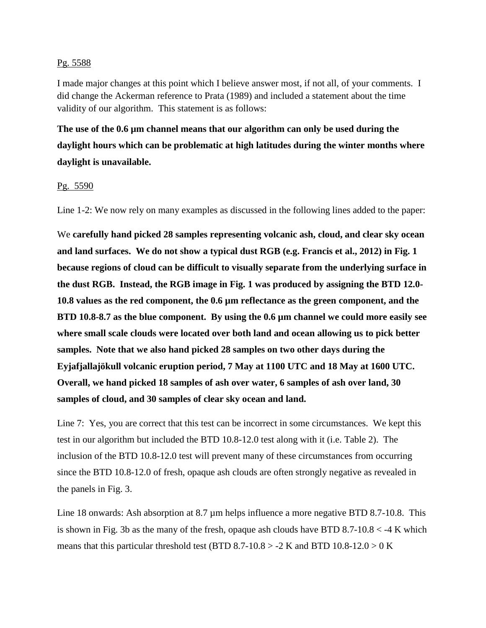### Pg. 5588

I made major changes at this point which I believe answer most, if not all, of your comments. I did change the Ackerman reference to Prata (1989) and included a statement about the time validity of our algorithm. This statement is as follows:

**The use of the 0.6 µm channel means that our algorithm can only be used during the daylight hours which can be problematic at high latitudes during the winter months where daylight is unavailable.**

## Pg. 5590

Line 1-2: We now rely on many examples as discussed in the following lines added to the paper:

We **carefully hand picked 28 samples representing volcanic ash, cloud, and clear sky ocean and land surfaces. We do not show a typical dust RGB (e.g. Francis et al., 2012) in Fig. 1 because regions of cloud can be difficult to visually separate from the underlying surface in the dust RGB. Instead, the RGB image in Fig. 1 was produced by assigning the BTD 12.0- 10.8 values as the red component, the 0.6 µm reflectance as the green component, and the BTD 10.8-8.7 as the blue component. By using the 0.6 µm channel we could more easily see where small scale clouds were located over both land and ocean allowing us to pick better samples. Note that we also hand picked 28 samples on two other days during the Eyjafjallajökull volcanic eruption period, 7 May at 1100 UTC and 18 May at 1600 UTC. Overall, we hand picked 18 samples of ash over water, 6 samples of ash over land, 30 samples of cloud, and 30 samples of clear sky ocean and land.** 

Line 7: Yes, you are correct that this test can be incorrect in some circumstances. We kept this test in our algorithm but included the BTD 10.8-12.0 test along with it (i.e. Table 2). The inclusion of the BTD 10.8-12.0 test will prevent many of these circumstances from occurring since the BTD 10.8-12.0 of fresh, opaque ash clouds are often strongly negative as revealed in the panels in Fig. 3.

Line 18 onwards: Ash absorption at 8.7 µm helps influence a more negative BTD 8.7-10.8. This is shown in Fig. 3b as the many of the fresh, opaque ash clouds have BTD  $8.7-10.8 < -4$  K which means that this particular threshold test (BTD 8.7-10.8 > -2 K and BTD 10.8-12.0 > 0 K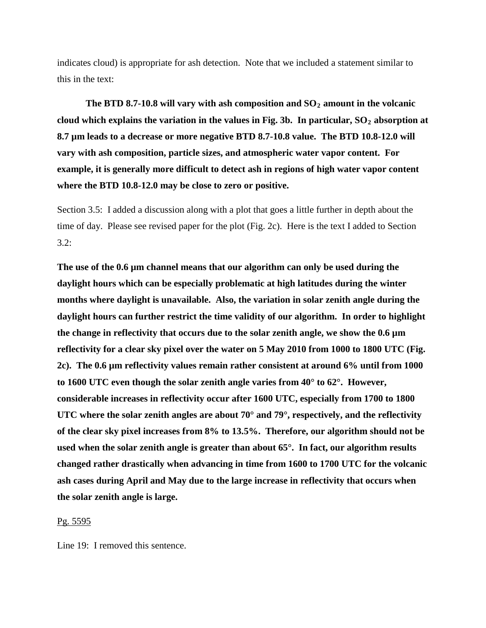indicates cloud) is appropriate for ash detection. Note that we included a statement similar to this in the text:

The BTD 8.7-10.8 will vary with ash composition and  $SO<sub>2</sub>$  amount in the volcanic cloud which explains the variation in the values in Fig. 3b. In particular,  $SO_2$  absorption at **8.7 µm leads to a decrease or more negative BTD 8.7-10.8 value. The BTD 10.8-12.0 will vary with ash composition, particle sizes, and atmospheric water vapor content. For example, it is generally more difficult to detect ash in regions of high water vapor content where the BTD 10.8-12.0 may be close to zero or positive.** 

Section 3.5: I added a discussion along with a plot that goes a little further in depth about the time of day. Please see revised paper for the plot (Fig. 2c). Here is the text I added to Section  $3.2:$ 

**The use of the 0.6 µm channel means that our algorithm can only be used during the daylight hours which can be especially problematic at high latitudes during the winter months where daylight is unavailable. Also, the variation in solar zenith angle during the daylight hours can further restrict the time validity of our algorithm. In order to highlight the change in reflectivity that occurs due to the solar zenith angle, we show the 0.6 µm reflectivity for a clear sky pixel over the water on 5 May 2010 from 1000 to 1800 UTC (Fig. 2c). The 0.6 µm reflectivity values remain rather consistent at around 6% until from 1000 to 1600 UTC even though the solar zenith angle varies from 40° to 62°. However, considerable increases in reflectivity occur after 1600 UTC, especially from 1700 to 1800 UTC where the solar zenith angles are about 70° and 79°, respectively, and the reflectivity of the clear sky pixel increases from 8% to 13.5%. Therefore, our algorithm should not be used when the solar zenith angle is greater than about 65°. In fact, our algorithm results changed rather drastically when advancing in time from 1600 to 1700 UTC for the volcanic ash cases during April and May due to the large increase in reflectivity that occurs when the solar zenith angle is large.** 

#### Pg. 5595

Line 19: I removed this sentence.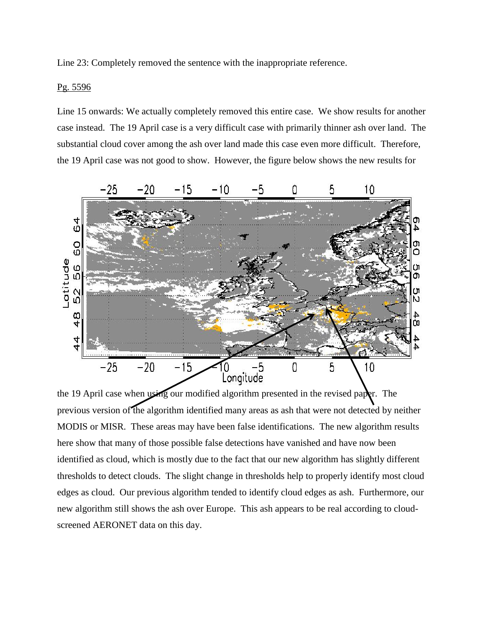Line 23: Completely removed the sentence with the inappropriate reference.

### Pg. 5596

Line 15 onwards: We actually completely removed this entire case. We show results for another case instead. The 19 April case is a very difficult case with primarily thinner ash over land. The substantial cloud cover among the ash over land made this case even more difficult. Therefore, the 19 April case was not good to show. However, the figure below shows the new results for



the 19 April case when using our modified algorithm presented in the revised paper. The previous version of the algorithm identified many areas as ash that were not detected by neither MODIS or MISR. These areas may have been false identifications. The new algorithm results here show that many of those possible false detections have vanished and have now been identified as cloud, which is mostly due to the fact that our new algorithm has slightly different thresholds to detect clouds. The slight change in thresholds help to properly identify most cloud edges as cloud. Our previous algorithm tended to identify cloud edges as ash. Furthermore, our new algorithm still shows the ash over Europe. This ash appears to be real according to cloudscreened AERONET data on this day.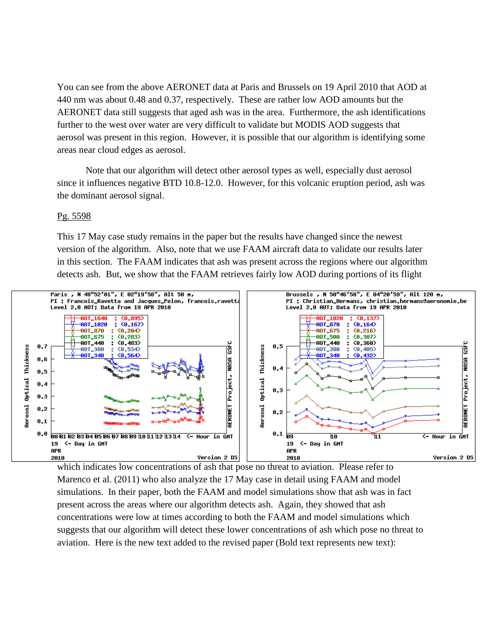You can see from the above AERONET data at Paris and Brussels on 19 April 2010 that AOD at 440 nm was about 0.48 and 0.37, respectively. These are rather low AOD amounts but the AERONET data still suggests that aged ash was in the area. Furthermore, the ash identifications further to the west over water are very difficult to validate but MODIS AOD suggests that aerosol was present in this region. However, it is possible that our algorithm is identifying some areas near cloud edges as aerosol.

Note that our algorithm will detect other aerosol types as well, especially dust aerosol since it influences negative BTD 10.8-12.0. However, for this volcanic eruption period, ash was the dominant aerosol signal.

#### Pg. 5598

This 17 May case study remains in the paper but the results have changed since the newest version of the algorithm. Also, note that we use FAAM aircraft data to validate our results later in this section. The FAAM indicates that ash was present across the regions where our algorithm detects ash. But, we show that the FAAM retrieves fairly low AOD during portions of its flight



which indicates low concentrations of ash that pose no threat to aviation. Please refer to Marenco et al. (2011) who also analyze the 17 May case in detail using FAAM and model simulations. In their paper, both the FAAM and model simulations show that ash was in fact present across the areas where our algorithm detects ash. Again, they showed that ash concentrations were low at times according to both the FAAM and model simulations which suggests that our algorithm will detect these lower concentrations of ash which pose no threat to aviation. Here is the new text added to the revised paper (Bold text represents new text):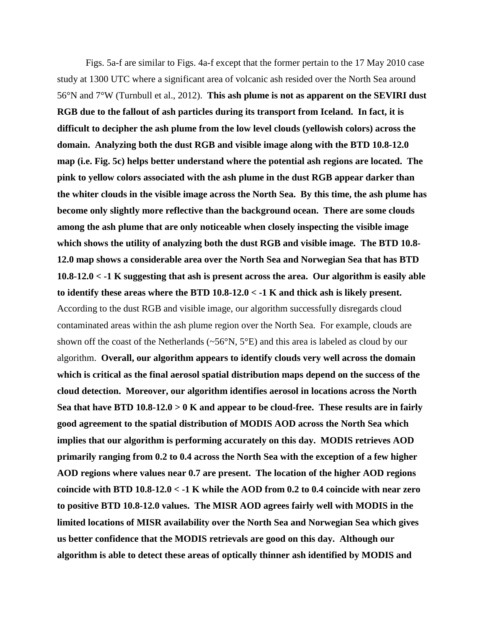Figs. 5a-f are similar to Figs. 4a-f except that the former pertain to the 17 May 2010 case study at 1300 UTC where a significant area of volcanic ash resided over the North Sea around 56°N and 7°W (Turnbull et al., 2012). **This ash plume is not as apparent on the SEVIRI dust RGB due to the fallout of ash particles during its transport from Iceland. In fact, it is difficult to decipher the ash plume from the low level clouds (yellowish colors) across the domain. Analyzing both the dust RGB and visible image along with the BTD 10.8-12.0 map (i.e. Fig. 5c) helps better understand where the potential ash regions are located. The pink to yellow colors associated with the ash plume in the dust RGB appear darker than the whiter clouds in the visible image across the North Sea. By this time, the ash plume has become only slightly more reflective than the background ocean. There are some clouds among the ash plume that are only noticeable when closely inspecting the visible image which shows the utility of analyzing both the dust RGB and visible image. The BTD 10.8- 12.0 map shows a considerable area over the North Sea and Norwegian Sea that has BTD 10.8-12.0 < -1 K suggesting that ash is present across the area. Our algorithm is easily able to identify these areas where the BTD 10.8-12.0 < -1 K and thick ash is likely present.**  According to the dust RGB and visible image, our algorithm successfully disregards cloud contaminated areas within the ash plume region over the North Sea. For example, clouds are shown off the coast of the Netherlands (~56°N, 5°E) and this area is labeled as cloud by our algorithm. **Overall, our algorithm appears to identify clouds very well across the domain which is critical as the final aerosol spatial distribution maps depend on the success of the cloud detection. Moreover, our algorithm identifies aerosol in locations across the North Sea that have BTD 10.8-12.0 > 0 K and appear to be cloud-free. These results are in fairly good agreement to the spatial distribution of MODIS AOD across the North Sea which implies that our algorithm is performing accurately on this day. MODIS retrieves AOD primarily ranging from 0.2 to 0.4 across the North Sea with the exception of a few higher AOD regions where values near 0.7 are present. The location of the higher AOD regions coincide with BTD 10.8-12.0 < -1 K while the AOD from 0.2 to 0.4 coincide with near zero to positive BTD 10.8-12.0 values. The MISR AOD agrees fairly well with MODIS in the limited locations of MISR availability over the North Sea and Norwegian Sea which gives us better confidence that the MODIS retrievals are good on this day. Although our algorithm is able to detect these areas of optically thinner ash identified by MODIS and**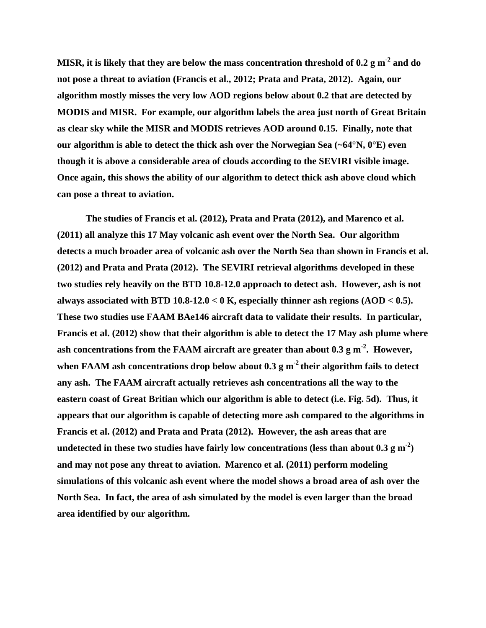**MISR, it is likely that they are below the mass concentration threshold of 0.2 g m-2 and do not pose a threat to aviation (Francis et al., 2012; Prata and Prata, 2012). Again, our algorithm mostly misses the very low AOD regions below about 0.2 that are detected by MODIS and MISR. For example, our algorithm labels the area just north of Great Britain as clear sky while the MISR and MODIS retrieves AOD around 0.15. Finally, note that our algorithm is able to detect the thick ash over the Norwegian Sea (~64°N, 0°E) even though it is above a considerable area of clouds according to the SEVIRI visible image. Once again, this shows the ability of our algorithm to detect thick ash above cloud which can pose a threat to aviation.** 

**The studies of Francis et al. (2012), Prata and Prata (2012), and Marenco et al. (2011) all analyze this 17 May volcanic ash event over the North Sea. Our algorithm detects a much broader area of volcanic ash over the North Sea than shown in Francis et al. (2012) and Prata and Prata (2012). The SEVIRI retrieval algorithms developed in these two studies rely heavily on the BTD 10.8-12.0 approach to detect ash. However, ash is not always associated with BTD 10.8-12.0 < 0 K, especially thinner ash regions (AOD < 0.5). These two studies use FAAM BAe146 aircraft data to validate their results. In particular, Francis et al. (2012) show that their algorithm is able to detect the 17 May ash plume where**  ash concentrations from the FAAM aircraft are greater than about 0.3 g m<sup>-2</sup>. However, when FAAM ash concentrations drop below about  $0.3 \text{ g m}^{-2}$  their algorithm fails to detect **any ash. The FAAM aircraft actually retrieves ash concentrations all the way to the eastern coast of Great Britian which our algorithm is able to detect (i.e. Fig. 5d). Thus, it appears that our algorithm is capable of detecting more ash compared to the algorithms in Francis et al. (2012) and Prata and Prata (2012). However, the ash areas that are**  undetected in these two studies have fairly low concentrations (less than about  $0.3 \text{ g m}^2$ ) **and may not pose any threat to aviation. Marenco et al. (2011) perform modeling simulations of this volcanic ash event where the model shows a broad area of ash over the North Sea. In fact, the area of ash simulated by the model is even larger than the broad area identified by our algorithm.**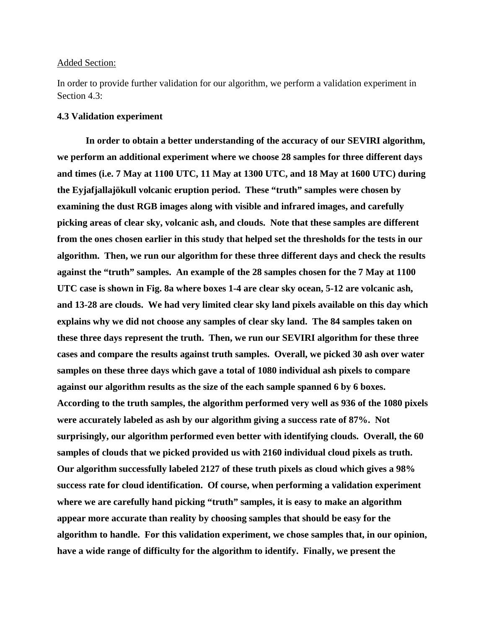#### Added Section:

In order to provide further validation for our algorithm, we perform a validation experiment in Section 4.3:

#### **4.3 Validation experiment**

**In order to obtain a better understanding of the accuracy of our SEVIRI algorithm, we perform an additional experiment where we choose 28 samples for three different days and times (i.e. 7 May at 1100 UTC, 11 May at 1300 UTC, and 18 May at 1600 UTC) during the Eyjafjallajökull volcanic eruption period. These "truth" samples were chosen by examining the dust RGB images along with visible and infrared images, and carefully picking areas of clear sky, volcanic ash, and clouds. Note that these samples are different from the ones chosen earlier in this study that helped set the thresholds for the tests in our algorithm. Then, we run our algorithm for these three different days and check the results against the "truth" samples. An example of the 28 samples chosen for the 7 May at 1100 UTC case is shown in Fig. 8a where boxes 1-4 are clear sky ocean, 5-12 are volcanic ash, and 13-28 are clouds. We had very limited clear sky land pixels available on this day which explains why we did not choose any samples of clear sky land. The 84 samples taken on these three days represent the truth. Then, we run our SEVIRI algorithm for these three cases and compare the results against truth samples. Overall, we picked 30 ash over water samples on these three days which gave a total of 1080 individual ash pixels to compare against our algorithm results as the size of the each sample spanned 6 by 6 boxes. According to the truth samples, the algorithm performed very well as 936 of the 1080 pixels were accurately labeled as ash by our algorithm giving a success rate of 87%. Not surprisingly, our algorithm performed even better with identifying clouds. Overall, the 60 samples of clouds that we picked provided us with 2160 individual cloud pixels as truth. Our algorithm successfully labeled 2127 of these truth pixels as cloud which gives a 98% success rate for cloud identification. Of course, when performing a validation experiment where we are carefully hand picking "truth" samples, it is easy to make an algorithm appear more accurate than reality by choosing samples that should be easy for the algorithm to handle. For this validation experiment, we chose samples that, in our opinion, have a wide range of difficulty for the algorithm to identify. Finally, we present the**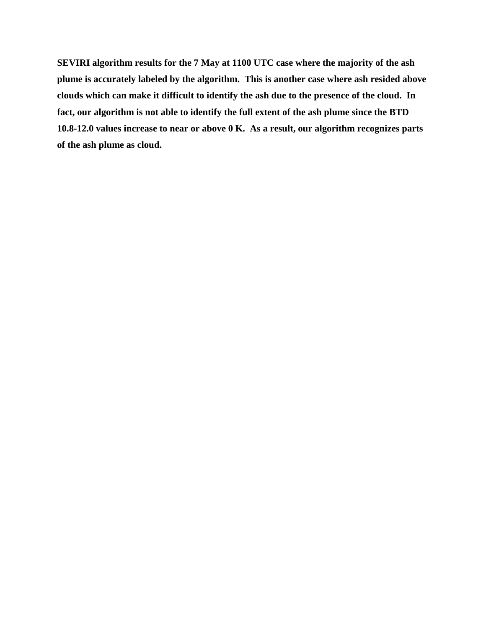**SEVIRI algorithm results for the 7 May at 1100 UTC case where the majority of the ash plume is accurately labeled by the algorithm. This is another case where ash resided above clouds which can make it difficult to identify the ash due to the presence of the cloud. In fact, our algorithm is not able to identify the full extent of the ash plume since the BTD 10.8-12.0 values increase to near or above 0 K. As a result, our algorithm recognizes parts of the ash plume as cloud.**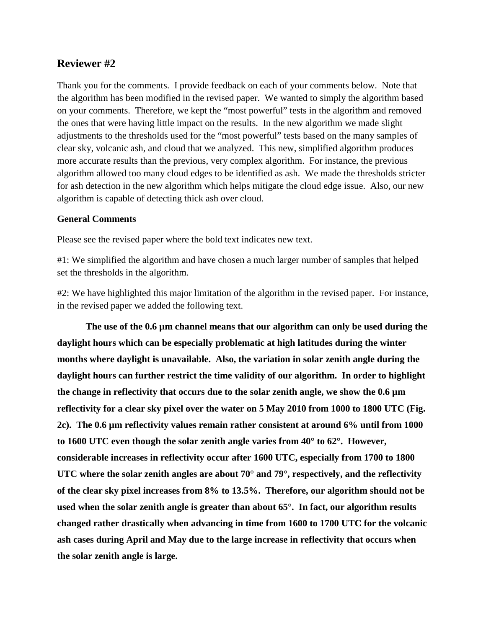# **Reviewer #2**

Thank you for the comments. I provide feedback on each of your comments below. Note that the algorithm has been modified in the revised paper. We wanted to simply the algorithm based on your comments. Therefore, we kept the "most powerful" tests in the algorithm and removed the ones that were having little impact on the results. In the new algorithm we made slight adjustments to the thresholds used for the "most powerful" tests based on the many samples of clear sky, volcanic ash, and cloud that we analyzed. This new, simplified algorithm produces more accurate results than the previous, very complex algorithm. For instance, the previous algorithm allowed too many cloud edges to be identified as ash. We made the thresholds stricter for ash detection in the new algorithm which helps mitigate the cloud edge issue. Also, our new algorithm is capable of detecting thick ash over cloud.

## **General Comments**

Please see the revised paper where the bold text indicates new text.

#1: We simplified the algorithm and have chosen a much larger number of samples that helped set the thresholds in the algorithm.

#2: We have highlighted this major limitation of the algorithm in the revised paper. For instance, in the revised paper we added the following text.

**The use of the 0.6 µm channel means that our algorithm can only be used during the daylight hours which can be especially problematic at high latitudes during the winter months where daylight is unavailable. Also, the variation in solar zenith angle during the daylight hours can further restrict the time validity of our algorithm. In order to highlight the change in reflectivity that occurs due to the solar zenith angle, we show the 0.6 µm reflectivity for a clear sky pixel over the water on 5 May 2010 from 1000 to 1800 UTC (Fig. 2c). The 0.6 µm reflectivity values remain rather consistent at around 6% until from 1000 to 1600 UTC even though the solar zenith angle varies from 40° to 62°. However, considerable increases in reflectivity occur after 1600 UTC, especially from 1700 to 1800 UTC where the solar zenith angles are about 70° and 79°, respectively, and the reflectivity of the clear sky pixel increases from 8% to 13.5%. Therefore, our algorithm should not be used when the solar zenith angle is greater than about 65°. In fact, our algorithm results changed rather drastically when advancing in time from 1600 to 1700 UTC for the volcanic ash cases during April and May due to the large increase in reflectivity that occurs when the solar zenith angle is large.**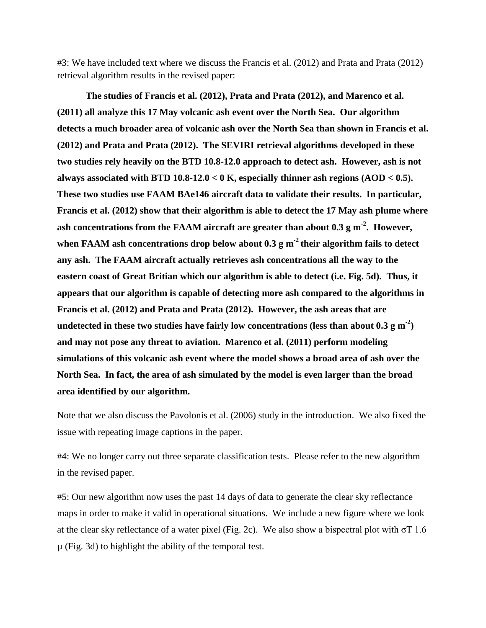#3: We have included text where we discuss the Francis et al. (2012) and Prata and Prata (2012) retrieval algorithm results in the revised paper:

**The studies of Francis et al. (2012), Prata and Prata (2012), and Marenco et al. (2011) all analyze this 17 May volcanic ash event over the North Sea. Our algorithm detects a much broader area of volcanic ash over the North Sea than shown in Francis et al. (2012) and Prata and Prata (2012). The SEVIRI retrieval algorithms developed in these two studies rely heavily on the BTD 10.8-12.0 approach to detect ash. However, ash is not always associated with BTD 10.8-12.0 < 0 K, especially thinner ash regions (AOD < 0.5). These two studies use FAAM BAe146 aircraft data to validate their results. In particular, Francis et al. (2012) show that their algorithm is able to detect the 17 May ash plume where**  ash concentrations from the FAAM aircraft are greater than about 0.3 g m<sup>-2</sup>. However, when FAAM ash concentrations drop below about 0.3 g m<sup>-2</sup> their algorithm fails to detect **any ash. The FAAM aircraft actually retrieves ash concentrations all the way to the eastern coast of Great Britian which our algorithm is able to detect (i.e. Fig. 5d). Thus, it appears that our algorithm is capable of detecting more ash compared to the algorithms in Francis et al. (2012) and Prata and Prata (2012). However, the ash areas that are**  undetected in these two studies have fairly low concentrations (less than about  $0.3 \text{ g m}^2$ ) **and may not pose any threat to aviation. Marenco et al. (2011) perform modeling simulations of this volcanic ash event where the model shows a broad area of ash over the North Sea. In fact, the area of ash simulated by the model is even larger than the broad area identified by our algorithm.** 

Note that we also discuss the Pavolonis et al. (2006) study in the introduction. We also fixed the issue with repeating image captions in the paper.

#4: We no longer carry out three separate classification tests. Please refer to the new algorithm in the revised paper.

#5: Our new algorithm now uses the past 14 days of data to generate the clear sky reflectance maps in order to make it valid in operational situations. We include a new figure where we look at the clear sky reflectance of a water pixel (Fig. 2c). We also show a bispectral plot with  $\sigma$ T 1.6 µ (Fig. 3d) to highlight the ability of the temporal test.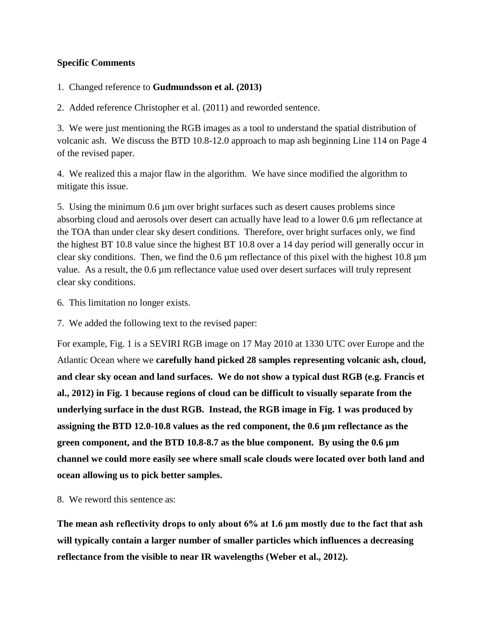## **Specific Comments**

## 1. Changed reference to **Gudmundsson et al. (2013)**

2. Added reference Christopher et al. (2011) and reworded sentence.

3. We were just mentioning the RGB images as a tool to understand the spatial distribution of volcanic ash. We discuss the BTD 10.8-12.0 approach to map ash beginning Line 114 on Page 4 of the revised paper.

4. We realized this a major flaw in the algorithm. We have since modified the algorithm to mitigate this issue.

5. Using the minimum 0.6 µm over bright surfaces such as desert causes problems since absorbing cloud and aerosols over desert can actually have lead to a lower 0.6 µm reflectance at the TOA than under clear sky desert conditions. Therefore, over bright surfaces only, we find the highest BT 10.8 value since the highest BT 10.8 over a 14 day period will generally occur in clear sky conditions. Then, we find the 0.6 µm reflectance of this pixel with the highest 10.8 µm value. As a result, the 0.6 µm reflectance value used over desert surfaces will truly represent clear sky conditions.

- 6. This limitation no longer exists.
- 7. We added the following text to the revised paper:

For example, Fig. 1 is a SEVIRI RGB image on 17 May 2010 at 1330 UTC over Europe and the Atlantic Ocean where we **carefully hand picked 28 samples representing volcanic ash, cloud, and clear sky ocean and land surfaces. We do not show a typical dust RGB (e.g. Francis et al., 2012) in Fig. 1 because regions of cloud can be difficult to visually separate from the underlying surface in the dust RGB. Instead, the RGB image in Fig. 1 was produced by assigning the BTD 12.0-10.8 values as the red component, the 0.6 µm reflectance as the green component, and the BTD 10.8-8.7 as the blue component. By using the 0.6 µm channel we could more easily see where small scale clouds were located over both land and ocean allowing us to pick better samples.**

8. We reword this sentence as:

**The mean ash reflectivity drops to only about 6% at 1.6 μm mostly due to the fact that ash will typically contain a larger number of smaller particles which influences a decreasing reflectance from the visible to near IR wavelengths (Weber et al., 2012).**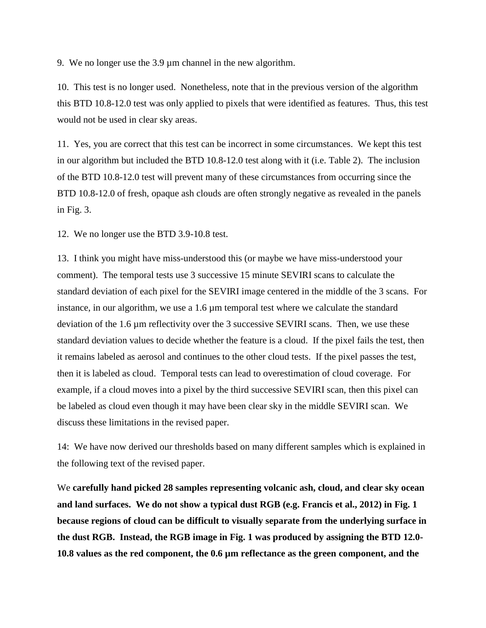9. We no longer use the 3.9 µm channel in the new algorithm.

10. This test is no longer used. Nonetheless, note that in the previous version of the algorithm this BTD 10.8-12.0 test was only applied to pixels that were identified as features. Thus, this test would not be used in clear sky areas.

11. Yes, you are correct that this test can be incorrect in some circumstances. We kept this test in our algorithm but included the BTD 10.8-12.0 test along with it (i.e. Table 2). The inclusion of the BTD 10.8-12.0 test will prevent many of these circumstances from occurring since the BTD 10.8-12.0 of fresh, opaque ash clouds are often strongly negative as revealed in the panels in Fig. 3.

12. We no longer use the BTD 3.9-10.8 test.

13. I think you might have miss-understood this (or maybe we have miss-understood your comment). The temporal tests use 3 successive 15 minute SEVIRI scans to calculate the standard deviation of each pixel for the SEVIRI image centered in the middle of the 3 scans. For instance, in our algorithm, we use a 1.6 µm temporal test where we calculate the standard deviation of the 1.6 µm reflectivity over the 3 successive SEVIRI scans. Then, we use these standard deviation values to decide whether the feature is a cloud. If the pixel fails the test, then it remains labeled as aerosol and continues to the other cloud tests. If the pixel passes the test, then it is labeled as cloud. Temporal tests can lead to overestimation of cloud coverage. For example, if a cloud moves into a pixel by the third successive SEVIRI scan, then this pixel can be labeled as cloud even though it may have been clear sky in the middle SEVIRI scan. We discuss these limitations in the revised paper.

14: We have now derived our thresholds based on many different samples which is explained in the following text of the revised paper.

We **carefully hand picked 28 samples representing volcanic ash, cloud, and clear sky ocean and land surfaces. We do not show a typical dust RGB (e.g. Francis et al., 2012) in Fig. 1 because regions of cloud can be difficult to visually separate from the underlying surface in the dust RGB. Instead, the RGB image in Fig. 1 was produced by assigning the BTD 12.0- 10.8 values as the red component, the 0.6 µm reflectance as the green component, and the**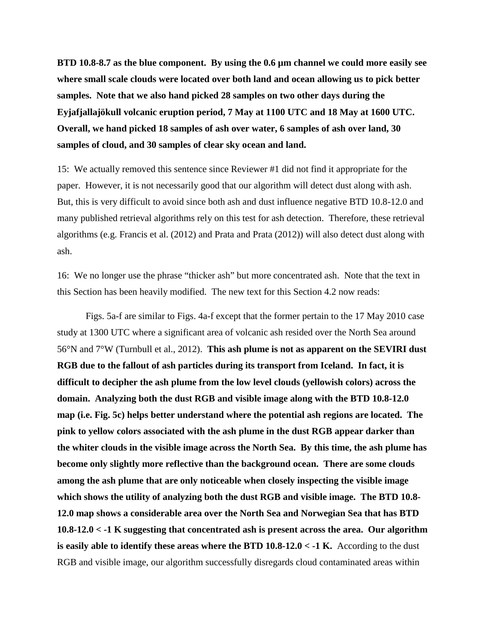**BTD 10.8-8.7 as the blue component. By using the 0.6 µm channel we could more easily see where small scale clouds were located over both land and ocean allowing us to pick better samples. Note that we also hand picked 28 samples on two other days during the Eyjafjallajökull volcanic eruption period, 7 May at 1100 UTC and 18 May at 1600 UTC. Overall, we hand picked 18 samples of ash over water, 6 samples of ash over land, 30 samples of cloud, and 30 samples of clear sky ocean and land.** 

15: We actually removed this sentence since Reviewer #1 did not find it appropriate for the paper. However, it is not necessarily good that our algorithm will detect dust along with ash. But, this is very difficult to avoid since both ash and dust influence negative BTD 10.8-12.0 and many published retrieval algorithms rely on this test for ash detection. Therefore, these retrieval algorithms (e.g. Francis et al. (2012) and Prata and Prata (2012)) will also detect dust along with ash.

16: We no longer use the phrase "thicker ash" but more concentrated ash. Note that the text in this Section has been heavily modified. The new text for this Section 4.2 now reads:

Figs. 5a-f are similar to Figs. 4a-f except that the former pertain to the 17 May 2010 case study at 1300 UTC where a significant area of volcanic ash resided over the North Sea around 56°N and 7°W (Turnbull et al., 2012). **This ash plume is not as apparent on the SEVIRI dust RGB due to the fallout of ash particles during its transport from Iceland. In fact, it is difficult to decipher the ash plume from the low level clouds (yellowish colors) across the domain. Analyzing both the dust RGB and visible image along with the BTD 10.8-12.0 map (i.e. Fig. 5c) helps better understand where the potential ash regions are located. The pink to yellow colors associated with the ash plume in the dust RGB appear darker than the whiter clouds in the visible image across the North Sea. By this time, the ash plume has become only slightly more reflective than the background ocean. There are some clouds among the ash plume that are only noticeable when closely inspecting the visible image which shows the utility of analyzing both the dust RGB and visible image. The BTD 10.8- 12.0 map shows a considerable area over the North Sea and Norwegian Sea that has BTD 10.8-12.0 < -1 K suggesting that concentrated ash is present across the area. Our algorithm is easily able to identify these areas where the BTD 10.8-12.0 < -1 K.** According to the dust RGB and visible image, our algorithm successfully disregards cloud contaminated areas within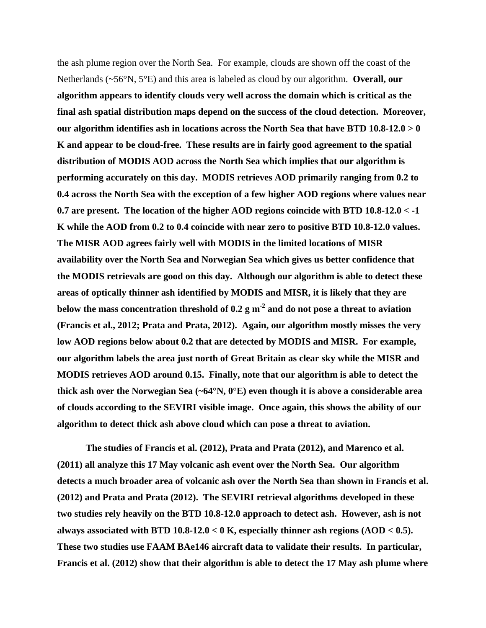the ash plume region over the North Sea. For example, clouds are shown off the coast of the Netherlands (~56°N, 5°E) and this area is labeled as cloud by our algorithm. **Overall, our algorithm appears to identify clouds very well across the domain which is critical as the final ash spatial distribution maps depend on the success of the cloud detection. Moreover, our algorithm identifies ash in locations across the North Sea that have BTD 10.8-12.0 > 0 K and appear to be cloud-free. These results are in fairly good agreement to the spatial distribution of MODIS AOD across the North Sea which implies that our algorithm is performing accurately on this day. MODIS retrieves AOD primarily ranging from 0.2 to 0.4 across the North Sea with the exception of a few higher AOD regions where values near 0.7 are present. The location of the higher AOD regions coincide with BTD 10.8-12.0 < -1 K while the AOD from 0.2 to 0.4 coincide with near zero to positive BTD 10.8-12.0 values. The MISR AOD agrees fairly well with MODIS in the limited locations of MISR availability over the North Sea and Norwegian Sea which gives us better confidence that the MODIS retrievals are good on this day. Although our algorithm is able to detect these areas of optically thinner ash identified by MODIS and MISR, it is likely that they are below the mass concentration threshold of 0.2 g m-2 and do not pose a threat to aviation (Francis et al., 2012; Prata and Prata, 2012). Again, our algorithm mostly misses the very low AOD regions below about 0.2 that are detected by MODIS and MISR. For example, our algorithm labels the area just north of Great Britain as clear sky while the MISR and MODIS retrieves AOD around 0.15. Finally, note that our algorithm is able to detect the thick ash over the Norwegian Sea (~64°N, 0°E) even though it is above a considerable area of clouds according to the SEVIRI visible image. Once again, this shows the ability of our algorithm to detect thick ash above cloud which can pose a threat to aviation.** 

**The studies of Francis et al. (2012), Prata and Prata (2012), and Marenco et al. (2011) all analyze this 17 May volcanic ash event over the North Sea. Our algorithm detects a much broader area of volcanic ash over the North Sea than shown in Francis et al. (2012) and Prata and Prata (2012). The SEVIRI retrieval algorithms developed in these two studies rely heavily on the BTD 10.8-12.0 approach to detect ash. However, ash is not always associated with BTD 10.8-12.0 < 0 K, especially thinner ash regions (AOD < 0.5). These two studies use FAAM BAe146 aircraft data to validate their results. In particular, Francis et al. (2012) show that their algorithm is able to detect the 17 May ash plume where**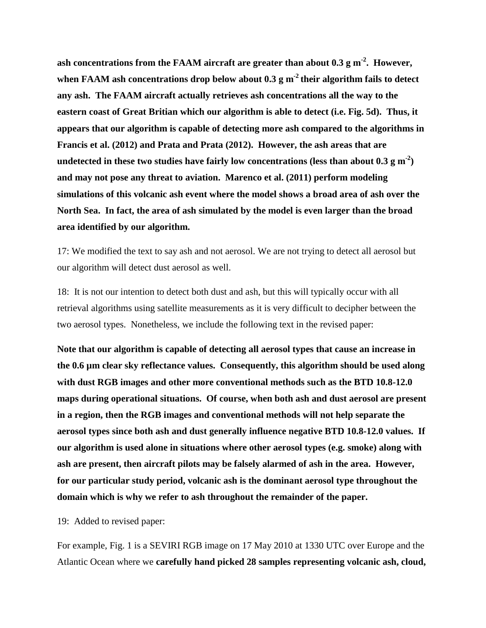ash concentrations from the FAAM aircraft are greater than about 0.3 g m<sup>-2</sup>. However, when FAAM ash concentrations drop below about 0.3 g m<sup>-2</sup> their algorithm fails to detect **any ash. The FAAM aircraft actually retrieves ash concentrations all the way to the eastern coast of Great Britian which our algorithm is able to detect (i.e. Fig. 5d). Thus, it appears that our algorithm is capable of detecting more ash compared to the algorithms in Francis et al. (2012) and Prata and Prata (2012). However, the ash areas that are**  undetected in these two studies have fairly low concentrations (less than about  $0.3 \text{ g m}^2$ ) **and may not pose any threat to aviation. Marenco et al. (2011) perform modeling simulations of this volcanic ash event where the model shows a broad area of ash over the North Sea. In fact, the area of ash simulated by the model is even larger than the broad area identified by our algorithm.** 

17: We modified the text to say ash and not aerosol. We are not trying to detect all aerosol but our algorithm will detect dust aerosol as well.

18: It is not our intention to detect both dust and ash, but this will typically occur with all retrieval algorithms using satellite measurements as it is very difficult to decipher between the two aerosol types. Nonetheless, we include the following text in the revised paper:

**Note that our algorithm is capable of detecting all aerosol types that cause an increase in the 0.6 µm clear sky reflectance values. Consequently, this algorithm should be used along with dust RGB images and other more conventional methods such as the BTD 10.8-12.0 maps during operational situations. Of course, when both ash and dust aerosol are present in a region, then the RGB images and conventional methods will not help separate the aerosol types since both ash and dust generally influence negative BTD 10.8-12.0 values. If our algorithm is used alone in situations where other aerosol types (e.g. smoke) along with ash are present, then aircraft pilots may be falsely alarmed of ash in the area. However, for our particular study period, volcanic ash is the dominant aerosol type throughout the domain which is why we refer to ash throughout the remainder of the paper.** 

19: Added to revised paper:

For example, Fig. 1 is a SEVIRI RGB image on 17 May 2010 at 1330 UTC over Europe and the Atlantic Ocean where we **carefully hand picked 28 samples representing volcanic ash, cloud,**